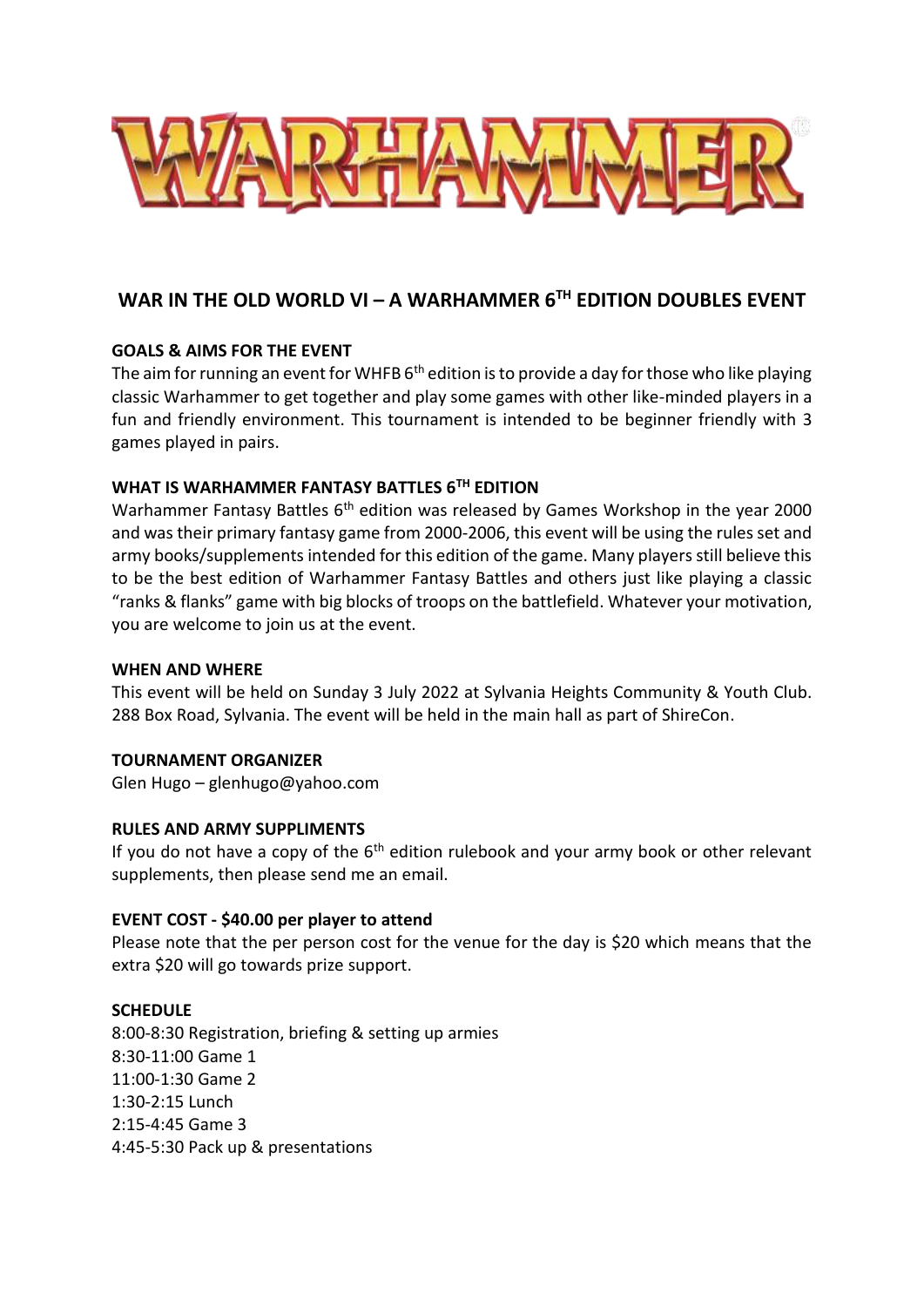

# **WAR IN THE OLD WORLD VI – A WARHAMMER 6TH EDITION DOUBLES EVENT**

# **GOALS & AIMS FOR THE EVENT**

The aim for running an event for WHFB  $6<sup>th</sup>$  edition is to provide a day for those who like playing classic Warhammer to get together and play some games with other like-minded players in a fun and friendly environment. This tournament is intended to be beginner friendly with 3 games played in pairs.

# **WHAT IS WARHAMMER FANTASY BATTLES 6TH EDITION**

Warhammer Fantasy Battles 6<sup>th</sup> edition was released by Games Workshop in the year 2000 and was their primary fantasy game from 2000-2006, this event will be using the rules set and army books/supplements intended for this edition of the game. Many players still believe this to be the best edition of Warhammer Fantasy Battles and others just like playing a classic "ranks & flanks" game with big blocks of troops on the battlefield. Whatever your motivation, you are welcome to join us at the event.

## **WHEN AND WHERE**

This event will be held on Sunday 3 July 2022 at Sylvania Heights Community & Youth Club. 288 Box Road, Sylvania. The event will be held in the main hall as part of ShireCon.

## **TOURNAMENT ORGANIZER**

Glen Hugo – glenhugo@yahoo.com

## **RULES AND ARMY SUPPLIMENTS**

If you do not have a copy of the  $6<sup>th</sup>$  edition rulebook and your army book or other relevant supplements, then please send me an email.

## **EVENT COST - \$40.00 per player to attend**

Please note that the per person cost for the venue for the day is \$20 which means that the extra \$20 will go towards prize support.

## **SCHEDULE**

8:00-8:30 Registration, briefing & setting up armies 8:30-11:00 Game 1 11:00-1:30 Game 2 1:30-2:15 Lunch 2:15-4:45 Game 3 4:45-5:30 Pack up & presentations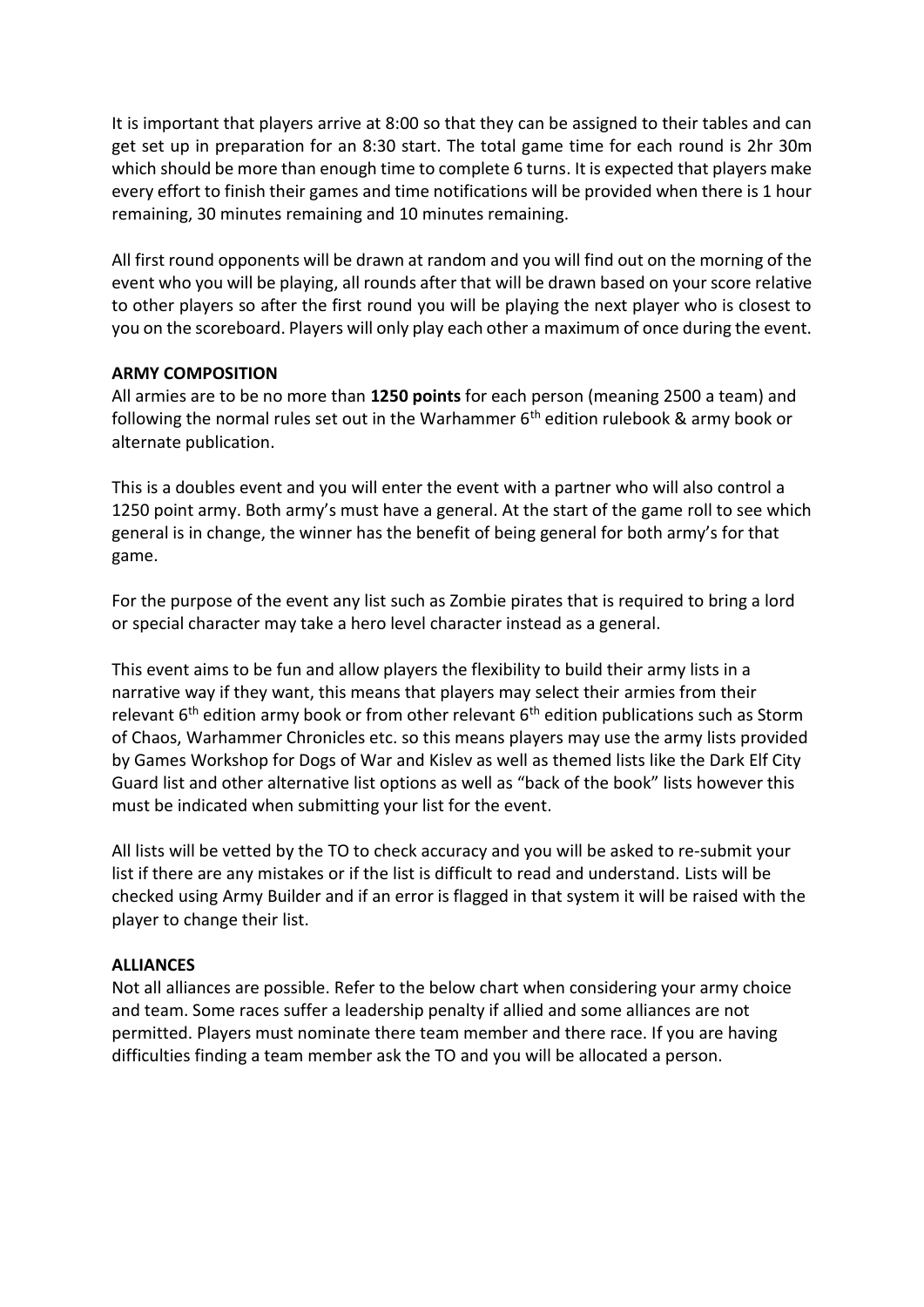It is important that players arrive at 8:00 so that they can be assigned to their tables and can get set up in preparation for an 8:30 start. The total game time for each round is 2hr 30m which should be more than enough time to complete 6 turns. It is expected that players make every effort to finish their games and time notifications will be provided when there is 1 hour remaining, 30 minutes remaining and 10 minutes remaining.

All first round opponents will be drawn at random and you will find out on the morning of the event who you will be playing, all rounds after that will be drawn based on your score relative to other players so after the first round you will be playing the next player who is closest to you on the scoreboard. Players will only play each other a maximum of once during the event.

# **ARMY COMPOSITION**

All armies are to be no more than **1250 points** for each person (meaning 2500 a team) and following the normal rules set out in the Warhammer  $6<sup>th</sup>$  edition rulebook & army book or alternate publication.

This is a doubles event and you will enter the event with a partner who will also control a 1250 point army. Both army's must have a general. At the start of the game roll to see which general is in change, the winner has the benefit of being general for both army's for that game.

For the purpose of the event any list such as Zombie pirates that is required to bring a lord or special character may take a hero level character instead as a general.

This event aims to be fun and allow players the flexibility to build their army lists in a narrative way if they want, this means that players may select their armies from their relevant  $6<sup>th</sup>$  edition army book or from other relevant  $6<sup>th</sup>$  edition publications such as Storm of Chaos, Warhammer Chronicles etc. so this means players may use the army lists provided by Games Workshop for Dogs of War and Kislev as well as themed lists like the Dark Elf City Guard list and other alternative list options as well as "back of the book" lists however this must be indicated when submitting your list for the event.

All lists will be vetted by the TO to check accuracy and you will be asked to re-submit your list if there are any mistakes or if the list is difficult to read and understand. Lists will be checked using Army Builder and if an error is flagged in that system it will be raised with the player to change their list.

## **ALLIANCES**

Not all alliances are possible. Refer to the below chart when considering your army choice and team. Some races suffer a leadership penalty if allied and some alliances are not permitted. Players must nominate there team member and there race. If you are having difficulties finding a team member ask the TO and you will be allocated a person.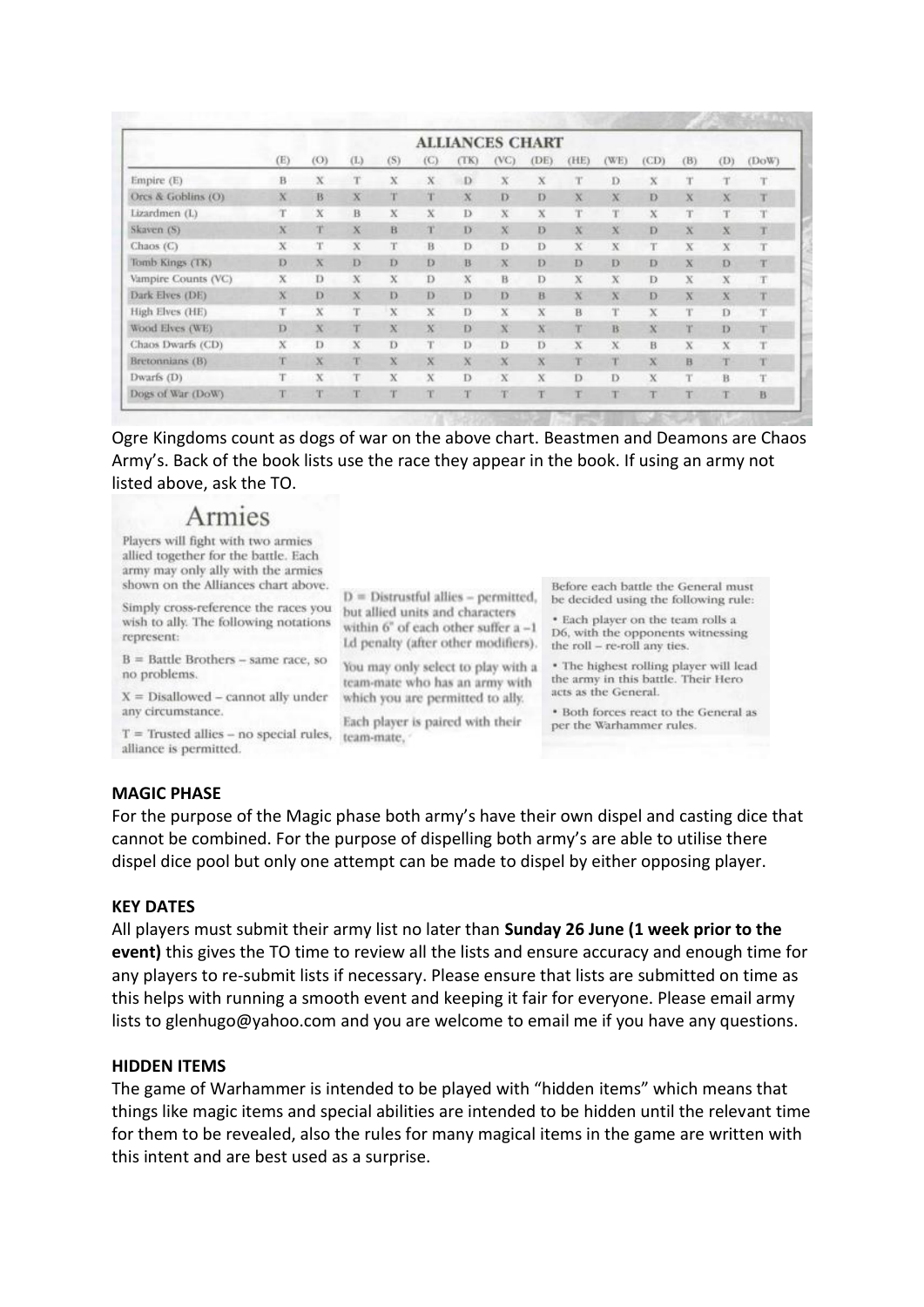|                     | <b>ALLIANCES CHART</b> |         |             |             |              |              |             |         |             |              |         |             |             |       |
|---------------------|------------------------|---------|-------------|-------------|--------------|--------------|-------------|---------|-------------|--------------|---------|-------------|-------------|-------|
|                     | (E)                    | (O)     | (L)         | (S)         | (C)          | (TK)         | (VC)        | (DE)    | (HE)        | (WE)         | (CD)    | (B)         | (D)         | (DoW) |
| Empire (E)          | в                      | x       | т           | x           | x            | D            | $\bf x$     | X       | T           | D.           | x       | T           | т           | т     |
| Orcs & Goblins (O)  | $\mathbf x$            | B       | $\bf x$     | <b>tart</b> | <b>Fight</b> | $\bf x$      | D           | Ð       | X           | $\bf x$      | Ð       | X           | $\bf x$     | т     |
| Lizardmen (L)       | T                      | $\bf x$ | B           | x           | x            | $\mathbf{D}$ | $\mathbf x$ | x       | T           | rg+          | X       | Ŧ           | T           | T     |
| Skaven (S)          | $\bf x$                | m       | $\bf{X}$    | B           | T            | D            | $\mathbf x$ | Ð       | $\bf x$     | $\bf x$      | Ð       | $\bf x$     | $\mathbf x$ | T     |
| Chaos (C)           | X                      | T       | $\mathbf x$ | T           | B            | D            | Ð           | Ð       | $\mathbf x$ | X            | Ŧ       | X           | X           | T     |
| Tomb Kings (TK)     | D                      | X       | Ð           | Ð           | Ð            | B            | $\bf x$     | Ð       | Ð           | D            | D       | $\mathbf x$ | Đ           | T     |
| Vampire Counts (VC) | X                      | Ð       | x           | x           | Ď            | X            | B           | D       | X           | X            | D       | X           | x           | T     |
| Dark Elves (DE)     | $\bf x$                | D       | $\bf x$     | Ð           | Ð            | D            | D           | B       | x           | $\mathbf{x}$ | Ð       | X           | $\bf x$     | т     |
| High Elves (HE)     | т                      | X       | T           | Х           | X            | D            | x           | X       | <b>B</b>    | Τ            | x       | Ϋ           | D           | rg+   |
| Wood Elves (WE)     | D                      | X       | Τ           | X           | x            | D            | X           | $\bf x$ | T           | в            | $\bf x$ | Ŧ           | D           | T     |
| Chaos Dwarfs (CD)   | $\mathbf x$            | Ð       | x           | D           | T            | D            | D           | D       | x           | $\bf x$      | B       | x           | X           | T     |
| Bretonnians (B)     | T                      | x       | Ŧ           | x           | x            | X            | $\mathbf x$ | $\bf x$ | T           | T            | X       | B           | T           | T     |
| Dwarfs (D)          | T.                     | x       |             | X           | X            | D            | X           | X       | D           | D            | $\bf x$ | T           | B           | Ŧ     |
| Dogs of War (DoW)   | T                      |         | T           | T           | T            |              | T.          | P.      | т           | т            | Ŧ       | T.          | T           | B     |

Ogre Kingdoms count as dogs of war on the above chart. Beastmen and Deamons are Chaos Army's. Back of the book lists use the race they appear in the book. If using an army not listed above, ask the TO.

within  $6^{\circ}$  of each other suffer  $a - 1$ 

Ld penalty (after other modifiers).

You may only select to play with a

team-mate who has an army with

which you are permitted to ally.

Each player is paired with their

# Armies

Players will fight with two armies allied together for the battle. Each army may only ally with the armies shown on the Alliances chart above.

Simply cross-reference the races you wish to ally. The following notations represent:

 $B =$  Battle Brothers - same race, so no problems.

 $X = Disallowed - cannot ally under$ any circumstance.

 $T =$  Trusted allies - no special rules, team-mate. alliance is permitted.

Before each battle the General must  $D =$  Distrustful allies - permitted, be decided using the following rule: but allied units and characters

· Each player on the team rolls a D6, with the opponents witnessing the roll - re-roll any ties.

\* The highest rolling player will lead the army in this battle. Their Hero acts as the General.

. Both forces react to the General as per the Warhammer rules.

#### **MAGIC PHASE**

For the purpose of the Magic phase both army's have their own dispel and casting dice that cannot be combined. For the purpose of dispelling both army's are able to utilise there dispel dice pool but only one attempt can be made to dispel by either opposing player.

#### **KEY DATES**

All players must submit their army list no later than **Sunday 26 June (1 week prior to the event)** this gives the TO time to review all the lists and ensure accuracy and enough time for any players to re-submit lists if necessary. Please ensure that lists are submitted on time as this helps with running a smooth event and keeping it fair for everyone. Please email army lists to glenhugo@yahoo.com and you are welcome to email me if you have any questions.

#### **HIDDEN ITEMS**

The game of Warhammer is intended to be played with "hidden items" which means that things like magic items and special abilities are intended to be hidden until the relevant time for them to be revealed, also the rules for many magical items in the game are written with this intent and are best used as a surprise.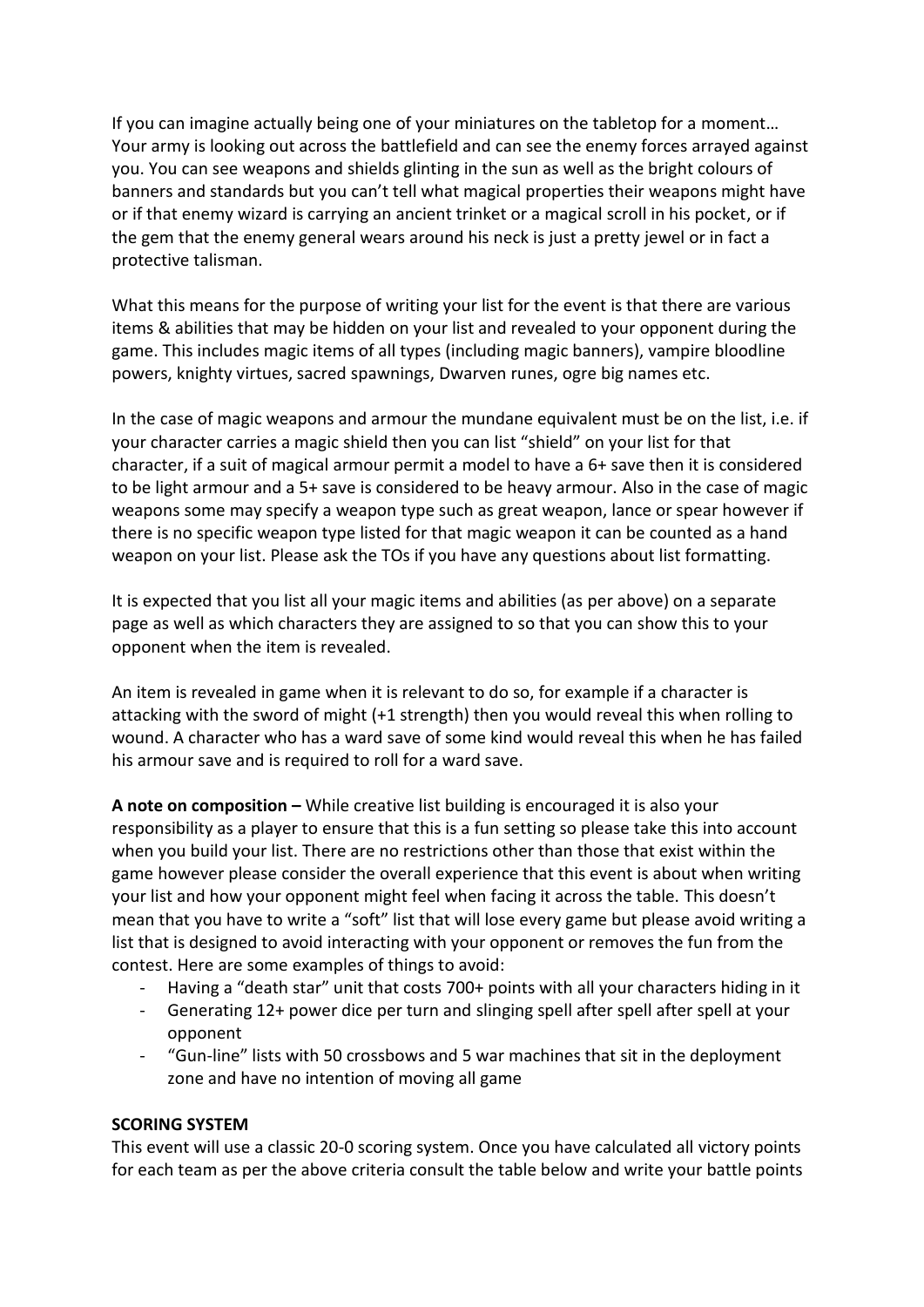If you can imagine actually being one of your miniatures on the tabletop for a moment… Your army is looking out across the battlefield and can see the enemy forces arrayed against you. You can see weapons and shields glinting in the sun as well as the bright colours of banners and standards but you can't tell what magical properties their weapons might have or if that enemy wizard is carrying an ancient trinket or a magical scroll in his pocket, or if the gem that the enemy general wears around his neck is just a pretty jewel or in fact a protective talisman.

What this means for the purpose of writing your list for the event is that there are various items & abilities that may be hidden on your list and revealed to your opponent during the game. This includes magic items of all types (including magic banners), vampire bloodline powers, knighty virtues, sacred spawnings, Dwarven runes, ogre big names etc.

In the case of magic weapons and armour the mundane equivalent must be on the list, i.e. if your character carries a magic shield then you can list "shield" on your list for that character, if a suit of magical armour permit a model to have a 6+ save then it is considered to be light armour and a 5+ save is considered to be heavy armour. Also in the case of magic weapons some may specify a weapon type such as great weapon, lance or spear however if there is no specific weapon type listed for that magic weapon it can be counted as a hand weapon on your list. Please ask the TOs if you have any questions about list formatting.

It is expected that you list all your magic items and abilities (as per above) on a separate page as well as which characters they are assigned to so that you can show this to your opponent when the item is revealed.

An item is revealed in game when it is relevant to do so, for example if a character is attacking with the sword of might (+1 strength) then you would reveal this when rolling to wound. A character who has a ward save of some kind would reveal this when he has failed his armour save and is required to roll for a ward save.

**A note on composition –** While creative list building is encouraged it is also your responsibility as a player to ensure that this is a fun setting so please take this into account when you build your list. There are no restrictions other than those that exist within the game however please consider the overall experience that this event is about when writing your list and how your opponent might feel when facing it across the table. This doesn't mean that you have to write a "soft" list that will lose every game but please avoid writing a list that is designed to avoid interacting with your opponent or removes the fun from the contest. Here are some examples of things to avoid:

- Having a "death star" unit that costs 700+ points with all your characters hiding in it
- Generating 12+ power dice per turn and slinging spell after spell after spell at your opponent
- "Gun-line" lists with 50 crossbows and 5 war machines that sit in the deployment zone and have no intention of moving all game

## **SCORING SYSTEM**

This event will use a classic 20-0 scoring system. Once you have calculated all victory points for each team as per the above criteria consult the table below and write your battle points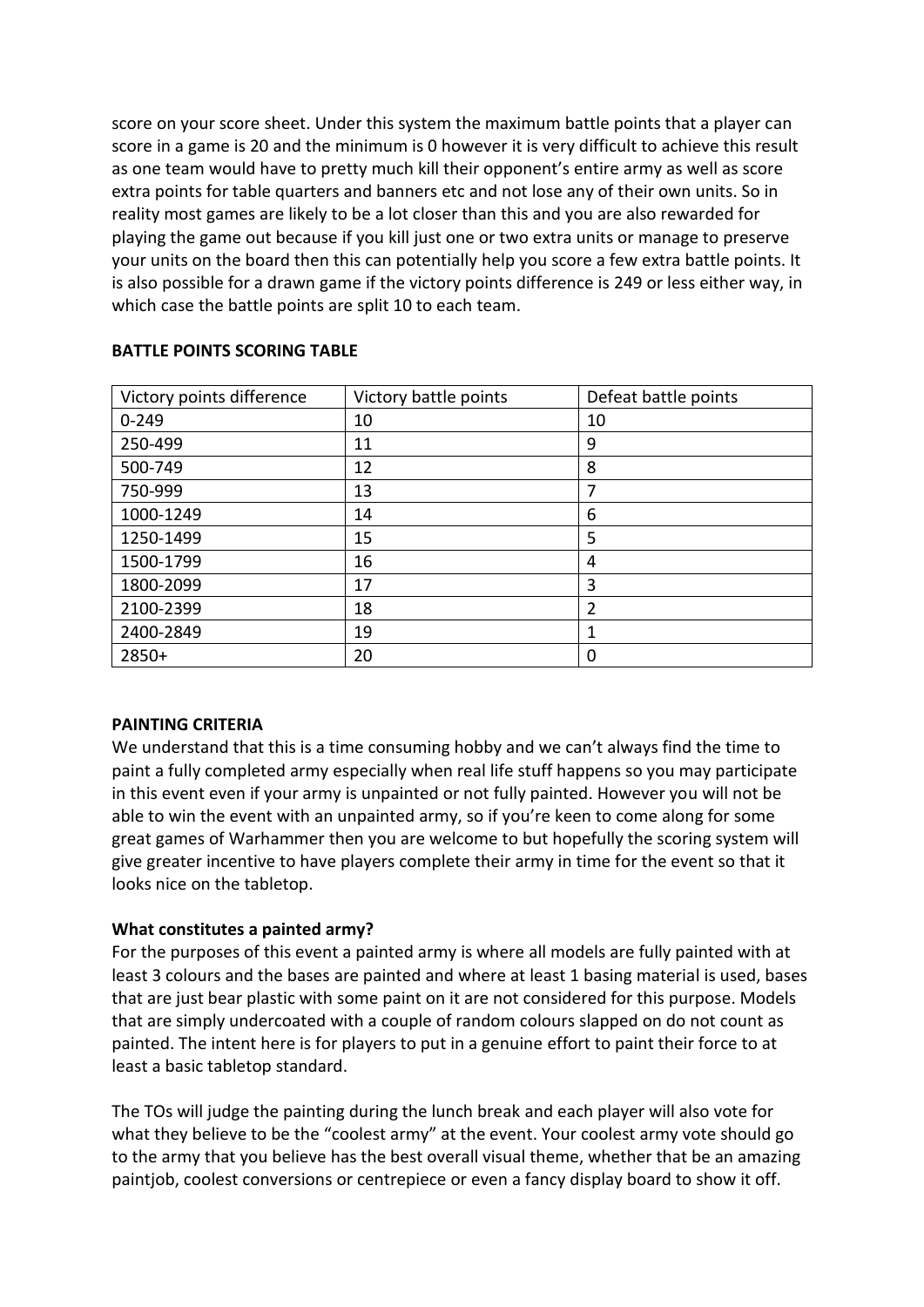score on your score sheet. Under this system the maximum battle points that a player can score in a game is 20 and the minimum is 0 however it is very difficult to achieve this result as one team would have to pretty much kill their opponent's entire army as well as score extra points for table quarters and banners etc and not lose any of their own units. So in reality most games are likely to be a lot closer than this and you are also rewarded for playing the game out because if you kill just one or two extra units or manage to preserve your units on the board then this can potentially help you score a few extra battle points. It is also possible for a drawn game if the victory points difference is 249 or less either way, in which case the battle points are split 10 to each team.

| Victory points difference | Victory battle points | Defeat battle points |  |  |  |
|---------------------------|-----------------------|----------------------|--|--|--|
| $0 - 249$                 | 10                    | 10                   |  |  |  |
| 250-499                   | 11                    | 9                    |  |  |  |
| 500-749                   | 12                    | 8                    |  |  |  |
| 750-999                   | 13                    | 7                    |  |  |  |
| 1000-1249                 | 14                    | 6                    |  |  |  |
| 1250-1499                 | 15                    | 5                    |  |  |  |
| 1500-1799                 | 16                    | 4                    |  |  |  |
| 1800-2099                 | 17                    | 3                    |  |  |  |
| 2100-2399                 | 18                    | 2                    |  |  |  |
| 2400-2849                 | 19                    | 1                    |  |  |  |
| 2850+                     | 20                    | 0                    |  |  |  |

### **BATTLE POINTS SCORING TABLE**

## **PAINTING CRITERIA**

We understand that this is a time consuming hobby and we can't always find the time to paint a fully completed army especially when real life stuff happens so you may participate in this event even if your army is unpainted or not fully painted. However you will not be able to win the event with an unpainted army, so if you're keen to come along for some great games of Warhammer then you are welcome to but hopefully the scoring system will give greater incentive to have players complete their army in time for the event so that it looks nice on the tabletop.

## **What constitutes a painted army?**

For the purposes of this event a painted army is where all models are fully painted with at least 3 colours and the bases are painted and where at least 1 basing material is used, bases that are just bear plastic with some paint on it are not considered for this purpose. Models that are simply undercoated with a couple of random colours slapped on do not count as painted. The intent here is for players to put in a genuine effort to paint their force to at least a basic tabletop standard.

The TOs will judge the painting during the lunch break and each player will also vote for what they believe to be the "coolest army" at the event. Your coolest army vote should go to the army that you believe has the best overall visual theme, whether that be an amazing paintjob, coolest conversions or centrepiece or even a fancy display board to show it off.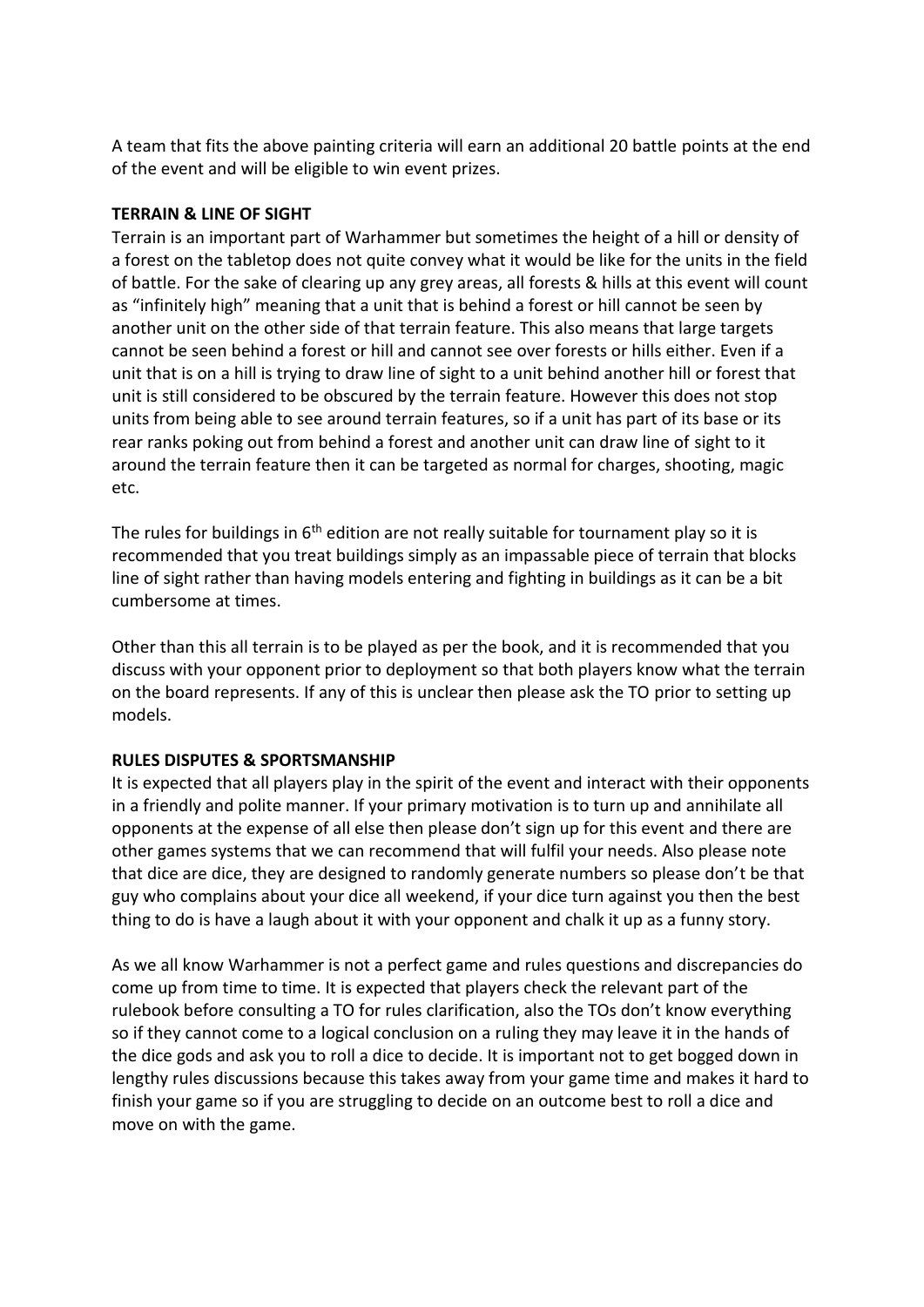A team that fits the above painting criteria will earn an additional 20 battle points at the end of the event and will be eligible to win event prizes.

## **TERRAIN & LINE OF SIGHT**

Terrain is an important part of Warhammer but sometimes the height of a hill or density of a forest on the tabletop does not quite convey what it would be like for the units in the field of battle. For the sake of clearing up any grey areas, all forests & hills at this event will count as "infinitely high" meaning that a unit that is behind a forest or hill cannot be seen by another unit on the other side of that terrain feature. This also means that large targets cannot be seen behind a forest or hill and cannot see over forests or hills either. Even if a unit that is on a hill is trying to draw line of sight to a unit behind another hill or forest that unit is still considered to be obscured by the terrain feature. However this does not stop units from being able to see around terrain features, so if a unit has part of its base or its rear ranks poking out from behind a forest and another unit can draw line of sight to it around the terrain feature then it can be targeted as normal for charges, shooting, magic etc.

The rules for buildings in  $6<sup>th</sup>$  edition are not really suitable for tournament play so it is recommended that you treat buildings simply as an impassable piece of terrain that blocks line of sight rather than having models entering and fighting in buildings as it can be a bit cumbersome at times.

Other than this all terrain is to be played as per the book, and it is recommended that you discuss with your opponent prior to deployment so that both players know what the terrain on the board represents. If any of this is unclear then please ask the TO prior to setting up models.

## **RULES DISPUTES & SPORTSMANSHIP**

It is expected that all players play in the spirit of the event and interact with their opponents in a friendly and polite manner. If your primary motivation is to turn up and annihilate all opponents at the expense of all else then please don't sign up for this event and there are other games systems that we can recommend that will fulfil your needs. Also please note that dice are dice, they are designed to randomly generate numbers so please don't be that guy who complains about your dice all weekend, if your dice turn against you then the best thing to do is have a laugh about it with your opponent and chalk it up as a funny story.

As we all know Warhammer is not a perfect game and rules questions and discrepancies do come up from time to time. It is expected that players check the relevant part of the rulebook before consulting a TO for rules clarification, also the TOs don't know everything so if they cannot come to a logical conclusion on a ruling they may leave it in the hands of the dice gods and ask you to roll a dice to decide. It is important not to get bogged down in lengthy rules discussions because this takes away from your game time and makes it hard to finish your game so if you are struggling to decide on an outcome best to roll a dice and move on with the game.